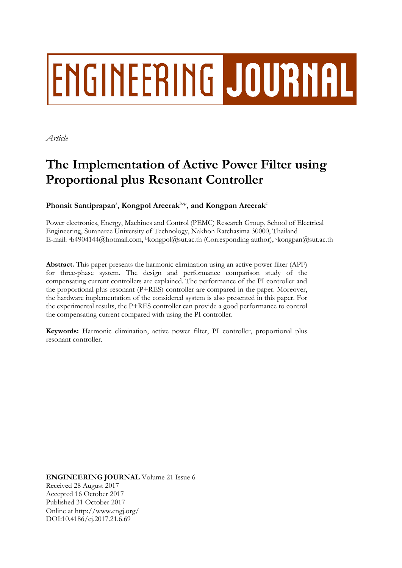# **ENGINEERING JOURNAL**

*Article*

# **The Implementation of Active Power Filter using Proportional plus Resonant Controller**

# Phonsit Santiprapan<sup>a</sup>, Kongpol Areerak $^{\rm b,*}$ , and Kongpan Areerak $^{\rm c}$

Power electronics, Energy, Machines and Control (PEMC) Research Group, School of Electrical Engineering, Suranaree University of Technology, Nakhon Ratchasima 30000, Thailand E-mail: ab4904144@hotmail.com, bkongpol@sut.ac.th (Corresponding author), ckongpan@sut.ac.th

**Abstract.** This paper presents the harmonic elimination using an active power filter (APF) for three-phase system. The design and performance comparison study of the compensating current controllers are explained. The performance of the PI controller and the proportional plus resonant (P+RES) controller are compared in the paper. Moreover, the hardware implementation of the considered system is also presented in this paper. For the experimental results, the P+RES controller can provide a good performance to control the compensating current compared with using the PI controller.

**Keywords:** Harmonic elimination, active power filter, PI controller, proportional plus resonant controller.

**ENGINEERING JOURNAL** Volume 21 Issue 6 Received 28 August 2017 Accepted 16 October 2017 Published 31 October 2017 Online at http://www.engj.org/ DOI:10.4186/ej.2017.21.6.69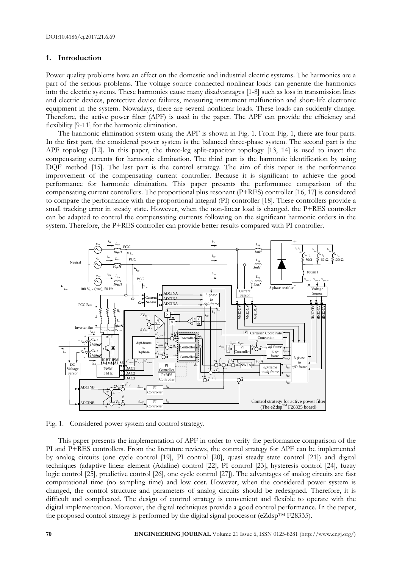#### **1. Introduction**

Power quality problems have an effect on the domestic and industrial electric systems. The harmonics are a part of the serious problems. The voltage source connected nonlinear loads can generate the harmonics into the electric systems. These harmonics cause many disadvantages [1-8] such as loss in transmission lines and electric devices, protective device failures, measuring instrument malfunction and short-life electronic equipment in the system. Nowadays, there are several nonlinear loads. These loads can suddenly change. Therefore, the active power filter (APF) is used in the paper. The APF can provide the efficiency and flexibility [9-11] for the harmonic elimination.

The harmonic elimination system using the APF is shown in Fig. 1. From Fig. 1, there are four parts. In the first part, the considered power system is the balanced three-phase system. The second part is the APF topology [12]. In this paper, the three-leg split-capacitor topology [13, 14] is used to inject the compensating currents for harmonic elimination. The third part is the harmonic identification by using DQF method [15]. The last part is the control strategy. The aim of this paper is the performance improvement of the compensating current controller. Because it is significant to achieve the good performance for harmonic elimination. This paper presents the performance comparison of the compensating current controllers. The proportional plus resonant (P+RES) controller [16, 17] is considered to compare the performance with the proportional integral (PI) controller [18]. These controllers provide a small tracking error in steady state. However, when the non-linear load is changed, the P+RES controller can be adapted to control the compensating currents following on the significant harmonic orders in the system. Therefore, the P+RES controller can provide better results compared with PI controller.



Fig. 1. Considered power system and control strategy.

This paper presents the implementation of APF in order to verify the performance comparison of the PI and P+RES controllers. From the literature reviews, the control strategy for APF can be implemented by analog circuits (one cycle control [19], PI control [20], quasi steady state control [21]) and digital techniques (adaptive linear element (Adaline) control [22], PI control [23], hysteresis control [24], fuzzy logic control [25], predictive control [26], one cycle control [27]). The advantages of analog circuits are fast computational time (no sampling time) and low cost. However, when the considered power system is changed, the control structure and parameters of analog circuits should be redesigned. Therefore, it is difficult and complicated. The design of control strategy is convenient and flexible to operate with the digital implementation. Moreover, the digital techniques provide a good control performance. In the paper, the proposed control strategy is performed by the digital signal processor ( $eZdsp^{TM}F28335$ ).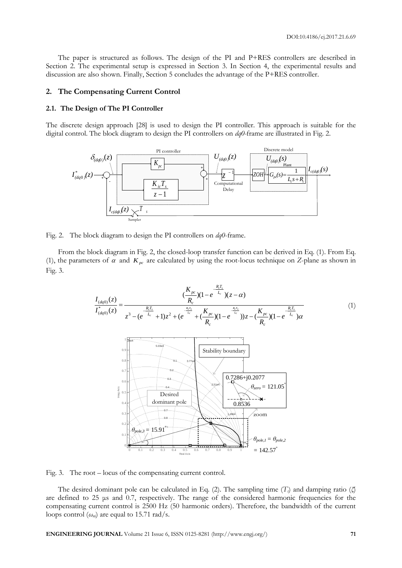The paper is structured as follows. The design of the PI and P+RES controllers are described in Section 2. The experimental setup is expressed in Section 3. In Section 4, the experimental results and discussion are also shown. Finally, Section 5 concludes the advantage of the P+RES controller.

#### **2. The Compensating Current Control**

#### **2.1. The Design of The PI Controller**

The discrete design approach [28] is used to design the PI controller. This approach is suitable for the digital control. The block diagram to design the PI controllers on *dq0-*frame are illustrated in Fig. 2.



Fig. 2. The block diagram to design the PI controllers on *dq0*-frame.

From the block diagram in Fig. 2, the closed-loop transfer function can be derived in Eq. (1). From Eq. (1), the parameters of  $\alpha$  and  $K_{pc}$  are calculated by using the root-locus technique on *Z*-plane as shown in Fig. 3.

$$
\frac{I_{(dq0)}(z)}{I_{(dq0)}^*(z)} = \frac{\frac{R_z r_z}{R_c}(1-e^{-\frac{R_z r_z}{L_c}})(z-\alpha)}{z^3 - (e^{-\frac{R_z r_z}{L_c}} + 1)z^2 + (e^{-\frac{R_z r_z}{L_c}} + (\frac{K_{pc}}{R_c})(1-e^{-\frac{R_z r_z}{L_c}}))z - (\frac{K_{pc}}{R_c})(1-e^{-\frac{R_z r_z}{L_c}})\alpha
$$
\n(1)  
\n
$$
\frac{1}{\frac{8}{25}}\cos\theta
$$
\n
$$
\frac{1}{\frac{8}{25}}\cos\theta
$$
\n
$$
\frac{1}{\frac{8}{25}}\cos\theta
$$
\n
$$
\frac{1}{\frac{8}{25}}\cos\theta
$$
\n
$$
\frac{1}{\frac{8}{25}}\cos\theta
$$
\n
$$
\frac{1}{\frac{8}{25}}\cos\theta
$$
\n
$$
\frac{1}{\frac{8}{25}}\cos\theta
$$
\n
$$
\frac{1}{\frac{8}{25}}\cos\theta
$$
\n
$$
\frac{1}{\frac{8}{25}}\cos\theta
$$
\n
$$
\frac{1}{\frac{8}{25}}\cos\theta
$$
\n
$$
\frac{1}{\frac{8}{25}}\cos\theta
$$
\n
$$
\frac{1}{\frac{8}{25}}\cos\theta
$$
\n
$$
\frac{1}{\frac{8}{25}}\cos\theta
$$
\n
$$
\frac{1}{\frac{8}{25}}\cos\theta
$$
\n
$$
\frac{1}{\frac{8}{25}}\cos\theta
$$
\n
$$
\frac{1}{\frac{8}{25}}\cos\theta
$$
\n
$$
\frac{1}{\frac{8}{25}}\cos\theta
$$
\n
$$
\frac{1}{\frac{8}{25}}\cos\theta
$$
\n
$$
\frac{1}{\frac{8}{25}}\cos\theta
$$
\n
$$
\frac{1}{\frac{8}{25}}\cos\theta
$$
\n
$$
\frac{1}{\frac{8}{25}}\cos\theta
$$
\n
$$
\frac{1}{\frac{8}{25}}\cos\theta
$$
\n
$$
\frac{1}{\frac{8}{25}}\cos\theta
$$
\

Fig. 3. The root – locus of the compensating current control.

The desired dominant pole can be calculated in Eq. (2). The sampling time (*Ts*) and damping ratio (*ζ*) are defined to 25 μs and 0.7, respectively. The range of the considered harmonic frequencies for the compensating current control is 2500 Hz (50 harmonic orders). Therefore, the bandwidth of the current loops control  $(\omega_{ni})$  are equal to 15.71 rad/s.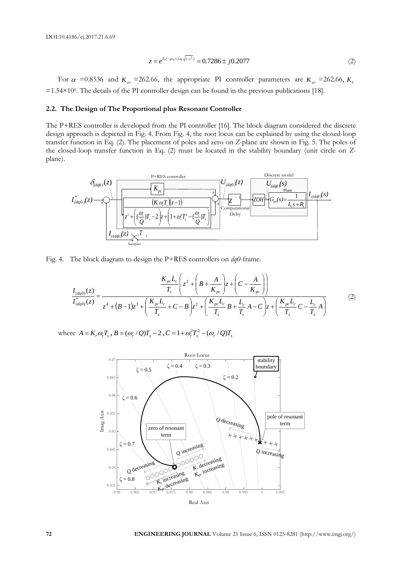$$
z = e^{T_s(-\varphi_{n} \pm j\omega_{n}\sqrt{1-\varsigma^2})} = 0.7286 \pm j0.2077
$$
 (2)

For  $\alpha$  =0.8536 and  $K_{pc}$  =262.66, the appropriate PI controller parameters are  $K_{pc}$  =262.66,  $K_{k}$ =1.54×10<sup>6</sup> . The details of the PI controller design can be found in the previous publications [18].

#### **2.2. The Design of The Proportional plus Resonant Controller**

The P+RES controller is developed from the PI controller [16]. The block diagram considered the discrete design approach is depicted in Fig. 4. From Fig. 4, the root locus can be explained by using the closed-loop transfer function in Eq. (2). The placement of poles and zero on *Z*-plane are shown in Fig. 5. The poles of the closed-loop transfer function in Eq. (2) must be located in the stability boundary (unit circle on *Z*plane).



Fig. 4. The block diagram to design the P+RES controllers on *dq0*-frame.

$$
\frac{I_{(dq0)}(z)}{I_{(dq0)}^*(z)} = \frac{\frac{K_{pc}L_c}{T_s} \left(z^2 + \left(B + \frac{A}{K_{pc}}\right)z + \left(C - \frac{A}{K_{pc}}\right)\right)}{z^4 + (B - 1)z^3 + \left(\frac{K_{pc}L_c}{T_s} + C - B\right)z^2 + \left(\frac{K_{pc}L_c}{T_s}B + \frac{L_c}{T_s}A - C\right)z + \left(\frac{K_{pc}L_c}{T_s}C - \frac{L_c}{T_s}A\right)}
$$
(2)

where  $A = K_r \omega_r T_s$ ,  $B = (\omega_r / Q)T_s - 2$ ,  $C = 1 + \omega_r^2 T_s^2 - (\omega_r / Q)T_s$ 

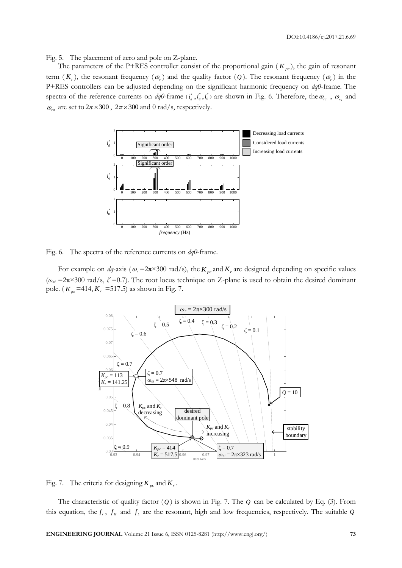DOI:10.4186/ej.2017.21.6.69

Fig. 5. The placement of zero and pole on Z-plane.

The parameters of the P+RES controller consist of the proportional gain  $(K_{pc})$ , the gain of resonant term  $(K_r)$ , the resonant frequency  $(\omega_r)$  and the quality factor  $(Q)$ . The resonant frequency  $(\omega_r)$  in the P+RES controllers can be adjusted depending on the significant harmonic frequency on *dq0*-frame. The spectra of the reference currents on *dq0*-frame  $(i_a^*, i_a^*, i_a^*)$  are shown in Fig. 6. Therefore, the  $\omega_{rd}$ ,  $\omega_{rq}$  and  $\omega_{r0}$  are set to  $2\pi \times 300$ ,  $2\pi \times 300$  and 0 rad/s, respectively.



Fig. 6. The spectra of the reference currents on *dq0*-frame.

For example on  $dq$ -axis ( $\omega_r = 2\pi \times 300$  rad/s), the  $K_{pc}$  and  $K_r$  are designed depending on specific values (*ωni* =2π×300 rad/s, *ζ* =0.7). The root locus technique on Z-plane is used to obtain the desired dominant pole. ( $K_{pc}$ =414,  $K_{r}$  =517.5) as shown in Fig. 7.



Fig. 7. The criteria for designing  $K_{pc}$  and  $K_r$ .

The characteristic of quality factor ( *Q* ) is shown in Fig. 7. The *Q* can be calculated by Eq. (3). From this equation, the  $f_r$ ,  $f_H$  and  $f_L$  are the resonant, high and low frequencies, respectively. The suitable  $Q$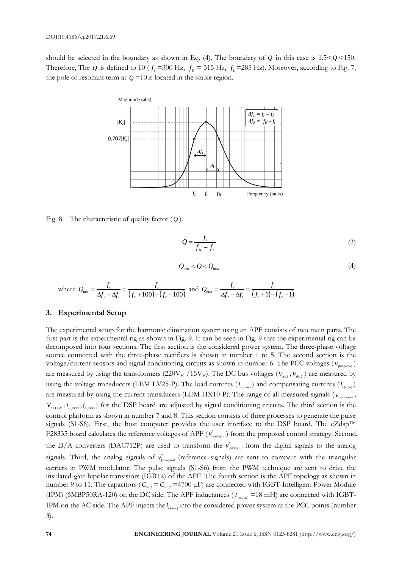should be selected in the boundary as shown in Eq. (4). The boundary of  $Q$  in this case is  $1.5 < Q < 150$ . Therefore, The Q is defined to 10 ( $f_r$  =300 Hz,  $f_H$  = 315 Hz,  $f_L$  =285 Hz). Moreover, according to Fig. 7, the pole of resonant term at  $Q = 10$  is located in the stable region.



Fig. 8. The characteristic of quality factor ( *Q* ).

$$
Q = \frac{f_r}{f_H - f_L} \tag{3}
$$

$$
Q_{\min} < Q < Q_{\max} \tag{4}
$$

where 
$$
Q_{\min} = \frac{f_r}{\Delta f_2 - \Delta f_1} = \frac{f_r}{(f_r + 100) - (f_r - 100)}
$$
 and  $Q_{\max} = \frac{f_r}{\Delta f_2 - \Delta f_1} = \frac{f_r}{(f_r + 1) - (f_r - 1)}$ 

## **3. Experimental Setup**

The experimental setup for the harmonic elimination system using an APF consists of two main parts. The first part is the experimental rig as shown in Fig. 9. It can be seen in Fig. 9 that the experimental rig can be decomposed into four sections. The first section is the considered power system. The three-phase voltage source connected with the three-phase rectifiers is shown in number 1 to 5. The second section is the voltage/current sensors and signal conditioning circuits as shown in number 6. The PCC voltages ( $v_{pcc,(uvw)}$ ) are measured by using the transformers (220 $V_{ac}$  /15 $V_{ac}$ ). The DC bus voltages ( $V_{dc}$ ,  $V_{dc}$ <sub>2</sub>) are measured by using the voltage transducers (LEM LV25-P). The load currents  $(i_{L(uwv)})$  and compensating currents  $(i_{c(uwv)})$ are measured by using the current transducers (LEM HX10-P). The range of all measured signals ( $v_{pcc,(uvw)}$ )  $V_{d_{c,(1,2)}}, i_{L_{(uvw)}}$ ,  $i_{c(uw)}$  for the DSP board are adjusted by signal conditioning circuits. The third section is the control platform as shown in number 7 and 8. This section consists of three processes to generate the pulse signals (S1-S6). First, the host computer provides the user interface to the DSP board. The eZdspTM F28335 board calculates the reference voltages of APF ( $v_{(uvw),\omega u}^*$ ) from the proposed control strategy. Second, the D/A converters (DAC712P) are used to transform the  $v_{(uvw)\rho ut}^*$  from the digital signals to the analog signals. Third, the analog signals of  $v_{(uvw)\rho u t}^*$  (reference signals) are sent to compare with the triangular carriers in PWM modulator. The pulse signals (S1-S6) from the PWM technique are sent to drive the insulated-gate bipolar transistors (IGBTs) of the APF. The fourth section is the APF topology as shown in number 9 to 11. The capacitors ( $C_{dc,1} = C_{dc,2} = 4700 \mu$ F) are connected with IGBT-Intelligent Power Module (IPM) (6MBP50RA-120) on the DC side. The APF inductances  $(L_{c(uuv)} = 18 \text{ mH})$  are connected with IGBT-IPM on the AC side. The APF injects the  $i_{c(uw)}$  into the considered power system at the PCC points (number 3).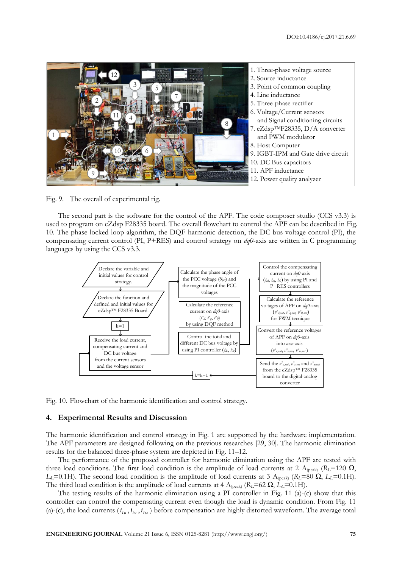

Fig. 9. The overall of experimental rig.

The second part is the software for the control of the APF. The code composer studio (CCS v3.3) is used to program on eZdsp F28335 board. The overall flowchart to control the APF can be described in Fig. 10. The phase locked loop algorithm, the DQF harmonic detection, the DC bus voltage control (PI), the compensating current control (PI, P+RES) and control strategy on *dq0*-axis are written in C programming languages by using the CCS v3.3.



Fig. 10. Flowchart of the harmonic identification and control strategy.

#### **4. Experimental Results and Discussion**

The harmonic identification and control strategy in Fig. 1 are supported by the hardware implementation. The APF parameters are designed following on the previous researches [29, 30]. The harmonic elimination results for the balanced three-phase system are depicted in Fig. 11–12.

The performance of the proposed controller for harmonic elimination using the APF are tested with three load conditions. The first load condition is the amplitude of load currents at 2 A<sub>(peak)</sub> ( $R_L$ =120  $\Omega$ ), *L*<sub>L</sub>=0.1H). The second load condition is the amplitude of load currents at 3 A<sub>(peak)</sub> (*R*<sub>*L*</sub>=80 Ω, *L*<sub>*L*</sub>=0.1H). The third load condition is the amplitude of load currents at 4 A<sub>(peak)</sub> ( $R_L$ =62  $\Omega$ ,  $L_L$ =0.1H).

The testing results of the harmonic elimination using a PI controller in Fig. 11 (a)-(c) show that this controller can control the compensating current even though the load is dynamic condition. From Fig. 11 (a)-(c), the load currents  $(i_{L_u}, i_{L_v}, i_{L_w})$  before compensation are highly distorted waveform. The average total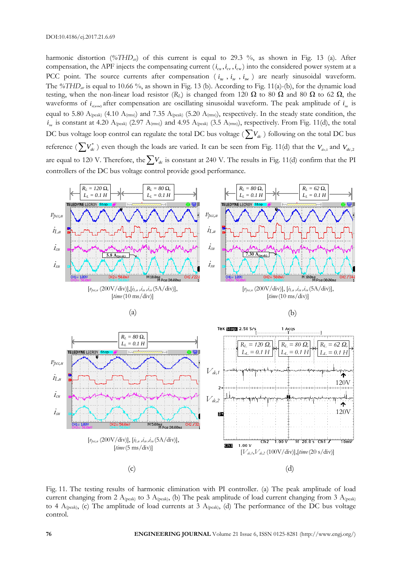harmonic distortion (*%THDav*) of this current is equal to 29.3 %, as shown in Fig. 13 (a). After compensation, the APF injects the compensating current  $(i_{cu}, i_{cv}, i_{cw})$  into the considered power system at a PCC point. The source currents after compensation ( $i_{su}$ ,  $i_{sv}$ ,  $i_{sv}$ ) are nearly sinusoidal waveform. The *%THDav* is equal to 10.66 %, as shown in Fig. 13 (b). According to Fig. 11(a)-(b), for the dynamic load testing, when the non-linear load resistor ( $R_L$ ) is changed from 120  $\Omega$  to 80  $\Omega$  and 80  $\Omega$  to 62  $\Omega$ , the waveforms of  $i_{s(uw)}$  after compensation are oscillating sinusoidal waveform. The peak amplitude of  $i_{su}$  is equal to 5.80  $A_{(peak)}$  (4.10  $A_{(rms)}$ ) and 7.35  $A_{(peak)}$  (5.20  $A_{(rms)}$ ), respectively. In the steady state condition, the  $i_{\rm su}$  is constant at 4.20 A<sub>(peak)</sub> (2.97 A<sub>(rms)</sub>) and 4.95 A<sub>(peak)</sub> (3.5 A<sub>(rms)</sub>), respectively. From Fig. 11(d), the total DC bus voltage loop control can regulate the total DC bus voltage ( $\sum V_{dc}$ ) following on the total DC bus reference ( $\sum V^*_{dc}$ ) even though the loads are varied. It can be seen from Fig. 11(d) that the  $V_{dc,1}$  and  $V_{dc,2}$ controllers of the DC bus voltage control provide good performance.





 $[v_{p,q,u}$  (200V/div)],  $[i_{L}$  *,i* $a$ ,  $i_{cu}$ ,  $i_{cu}$ ,  $i_{cu}$  (5A/div)],

R

 $C<sub>13</sub>$ 

 $1.00V$ 

 $\pm$  00  $\overline{\rm v}$ 

<del>់ M ່ 20.0 s ់ Ch i</del>

120V

<del>។កក់ប</del>់

*isu*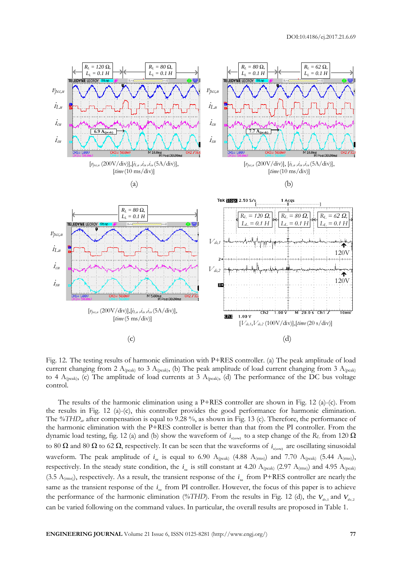

Fig. 12. The testing results of harmonic elimination with P+RES controller. (a) The peak amplitude of load current changing from 2 A<sub>(peak)</sub> to 3 A<sub>(peak)</sub>, (b) The peak amplitude of load current changing from 3 A<sub>(peak)</sub> to 4  $A_{(peak)}$ , (c) The amplitude of load currents at 3  $A_{(peak)}$ , (d) The performance of the DC bus voltage control.

The results of the harmonic elimination using a P+RES controller are shown in Fig. 12 (a)-(c). From the results in Fig. 12 (a)-(c), this controller provides the good performance for harmonic elimination. The *%THDav* after compensation is equal to 9.28 %, as shown in Fig. 13 (c). Therefore, the performance of the harmonic elimination with the P+RES controller is better than that from the PI controller. From the dynamic load testing, fig. 12 (a) and (b) show the waveform of  $i_{s(uwv)}$  to a step change of the  $R_L$  from 120  $\Omega$ to 80  $\Omega$  and 80  $\Omega$  to 62  $\Omega$ , respectively. It can be seen that the waveforms of  $i_{s(uw)}$  are oscillating sinusoidal waveform. The peak amplitude of  $i_{\rm su}$  is equal to 6.90  $A_{\rm (peak)}$  (4.88  $A_{\rm (rms)}$ ) and 7.70  $A_{\rm (peak)}$  (5.44  $A_{\rm (rms)}$ ), respectively. In the steady state condition, the  $i_{su}$  is still constant at 4.20  $A_{(peak)}$  (2.97  $A_{(rms)}$ ) and 4.95  $A_{(peak)}$ (3.5  $A_{(rms)}$ ), respectively. As a result, the transient response of the  $i_{su}$  from P+RES controller are nearly the same as the transient response of the  $i_{\mu}$  from PI controller. However, the focus of this paper is to achieve the performance of the harmonic elimination (%THD). From the results in Fig. 12 (d), the  $V_{dc,1}$  and  $V_{dc,2}$ can be varied following on the command values. In particular, the overall results are proposed in Table 1.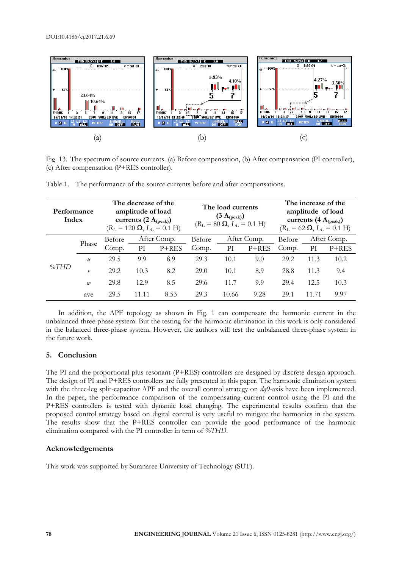

Fig. 13. The spectrum of source currents. (a) Before compensation, (b) After compensation (PI controller), (c) After compensation (P+RES controller).

| 50%<br>23.04%<br>10.64%<br>. III<br>THDDC<br>04/01/16 14:52:21<br>230U 50Hz 3.8 WYE<br><b>FN50160</b><br>$U$ in $U$<br><b>METER</b><br><b>TILL</b><br><b>BUN</b> |                     |                                                                                                                    |               | 5.93%<br>4.10%<br>ш<br>50%<br>THD DC<br>10/04/16 21:12:46<br>230U 50Hz 3.8 WYE<br>EN50160<br>$0$ $0$ $0$<br><b>METER</b><br><b>nu</b><br>(b)                                                                                                                                                                                                                                                                                                                                                                                                                                                                                                                                                                                                                                                                                                                                                   |                                                                                                  |               |             | 4.27%<br>3.50%<br>50%<br>THDDC<br>10/04/16 19:03:37<br>230V 50Hz 3.8 WYE<br>HOLD<br>u n u<br><b>ALL</b><br>(c)    |                            |              |  |
|------------------------------------------------------------------------------------------------------------------------------------------------------------------|---------------------|--------------------------------------------------------------------------------------------------------------------|---------------|------------------------------------------------------------------------------------------------------------------------------------------------------------------------------------------------------------------------------------------------------------------------------------------------------------------------------------------------------------------------------------------------------------------------------------------------------------------------------------------------------------------------------------------------------------------------------------------------------------------------------------------------------------------------------------------------------------------------------------------------------------------------------------------------------------------------------------------------------------------------------------------------|--------------------------------------------------------------------------------------------------|---------------|-------------|-------------------------------------------------------------------------------------------------------------------|----------------------------|--------------|--|
| (c) After compensation (P+RES controller).<br>Table 1.                                                                                                           | (a)                 |                                                                                                                    |               | Fig. 13. The spectrum of source currents. (a) Before compensation, (b) After compensation (PI controller),<br>The performance of the source currents before and after compensations.                                                                                                                                                                                                                                                                                                                                                                                                                                                                                                                                                                                                                                                                                                           |                                                                                                  |               |             |                                                                                                                   |                            |              |  |
| Performance<br>Index                                                                                                                                             |                     | The decrease of the<br>amplitude of load<br>currents $(2 A_{(peak)})$<br>$(R_L = 120 \Omega, L_L = 0.1 \text{ H})$ |               |                                                                                                                                                                                                                                                                                                                                                                                                                                                                                                                                                                                                                                                                                                                                                                                                                                                                                                | The load currents<br>$(3 \text{ A}_{\text{(peak)}})$<br>$(R_L = 80 \Omega, L_L = 0.1 \text{ H})$ |               |             | The increase of the<br>amplitude of load<br>currents $(4 A_{(peak)})$<br>$(R_L = 62 \Omega, L_L = 0.1 \text{ H})$ |                            |              |  |
| %THD                                                                                                                                                             | Phase               | Before                                                                                                             |               | After Comp.                                                                                                                                                                                                                                                                                                                                                                                                                                                                                                                                                                                                                                                                                                                                                                                                                                                                                    | Before                                                                                           |               | After Comp. | Before                                                                                                            |                            | After Comp.  |  |
|                                                                                                                                                                  |                     | Comp.                                                                                                              | PI            | P+RES                                                                                                                                                                                                                                                                                                                                                                                                                                                                                                                                                                                                                                                                                                                                                                                                                                                                                          | Comp.                                                                                            | PI            | P+RES       | Comp.                                                                                                             | $\mathop{\rm PI}\nolimits$ | $P+RES$      |  |
|                                                                                                                                                                  | $\mathcal{U}$       | 29.5                                                                                                               | 9.9           | 8.9                                                                                                                                                                                                                                                                                                                                                                                                                                                                                                                                                                                                                                                                                                                                                                                                                                                                                            | 29.3                                                                                             | 10.1          | 9.0         | 29.2                                                                                                              | 11.3                       | 10.2         |  |
|                                                                                                                                                                  | $\mathcal{V}$       | 29.2                                                                                                               | 10.3          | 8.2                                                                                                                                                                                                                                                                                                                                                                                                                                                                                                                                                                                                                                                                                                                                                                                                                                                                                            | 29.0                                                                                             | 10.1          | 8.9         | 28.8                                                                                                              | 11.3                       | 9.4          |  |
|                                                                                                                                                                  | $\mathcal W$<br>ave | 29.8<br>29.5                                                                                                       | 12.9<br>11.11 | 8.5<br>8.53                                                                                                                                                                                                                                                                                                                                                                                                                                                                                                                                                                                                                                                                                                                                                                                                                                                                                    | 29.6<br>29.3                                                                                     | 11.7<br>10.66 | 9.9<br>9.28 | 29.4<br>29.1                                                                                                      | 12.5<br>11.71              | 10.3<br>9.97 |  |
| the future work.<br>5. Conclusion                                                                                                                                |                     |                                                                                                                    |               | unbalanced three-phase system. But the testing for the harmonic elimination in this work is only considered<br>in the balanced three-phase system. However, the authors will test the unbalanced three-phase system in<br>The PI and the proportional plus resonant $(P+RES)$ controllers are designed by discrete design approach.<br>The design of PI and P+RES controllers are fully presented in this paper. The harmonic elimination system<br>with the three-leg split-capacitor APF and the overall control strategy on <i>dq</i> 0-axis have been implemented.<br>In the paper, the performance comparison of the compensating current control using the PI and the<br>P+RES controllers is tested with dynamic load changing. The experimental results confirm that the<br>proposed control strategy based on digital control is very useful to mitigate the harmonics in the system. |                                                                                                  |               |             |                                                                                                                   |                            |              |  |
| <b>Acknowledgements</b>                                                                                                                                          |                     |                                                                                                                    |               | The results show that the P+RES controller can provide the good performance of the harmonic<br>elimination compared with the PI controller in term of %THD.                                                                                                                                                                                                                                                                                                                                                                                                                                                                                                                                                                                                                                                                                                                                    |                                                                                                  |               |             |                                                                                                                   |                            |              |  |
|                                                                                                                                                                  |                     |                                                                                                                    |               | This work was supported by Suranaree University of Technology (SUT).                                                                                                                                                                                                                                                                                                                                                                                                                                                                                                                                                                                                                                                                                                                                                                                                                           |                                                                                                  |               |             |                                                                                                                   |                            |              |  |
| 78                                                                                                                                                               |                     |                                                                                                                    |               | ENGINEERING JOURNAL Volume 21 Issue 6, ISSN 0125-8281 (http://www.engj.org/)                                                                                                                                                                                                                                                                                                                                                                                                                                                                                                                                                                                                                                                                                                                                                                                                                   |                                                                                                  |               |             |                                                                                                                   |                            |              |  |

Table 1. The performance of the source currents before and after compensations.

## **5. Conclusion**

# **Acknowledgements**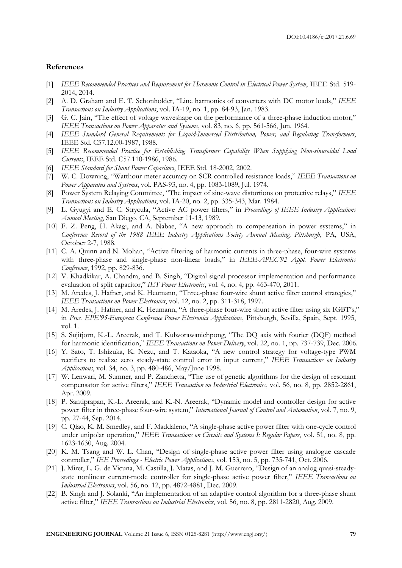#### **References**

- [1] *IEEE Recommended Practices and Requirement for Harmonic Control in Electrical Power System*, IEEE Std. 519- 2014, 2014.
- [2] A. D. Graham and E. T. Schonholder, "Line harmonics of converters with DC motor loads," *IEEE Transactions on Industry Applications*, vol. IA-19, no. 1, pp. 84-93, Jan. 1983.
- [3] G. C. Jain, "The effect of voltage waveshape on the performance of a three-phase induction motor," *IEEE Transactions on Power Apparatus and Systems*, vol. 83, no. 6, pp. 561-566, Jun. 1964.
- [4] *IEEE Standard General Requirements for Liquid-Immersed Distribution, Power, and Regulating Transformers*, IEEE Std. C57.12.00-1987, 1988.
- [5] *IEEE Recommended Practice for Establishing Transformer Capability When Supplying Non-sinusoidal Load Currents*, IEEE Std. C57.110-1986, 1986.
- [6] *IEEE Standard for Shunt Power Capacitors*, IEEE Std. 18-2002, 2002.
- [7] W. C. Downing, "Watthour meter accuracy on SCR controlled resistance loads," *IEEE Transactions on Power Apparatus and Systems*, vol. PAS-93, no. 4, pp. 1083-1089, Jul. 1974.
- [8] Power System Relaying Committee, "The impact of sine-wave distortions on protective relays," *IEEE Transactions on Industry Applications*, vol. IA-20, no. 2, pp. 335-343, Mar. 1984.
- [9] L. Gyugyi and E. C. Strycula, "Active AC power filters," in *Proceedings of IEEE Industry Applications Annual Meeting*, San Diego, CA, September 11-13, 1989.
- [10] F. Z. Peng, H. Akagi, and A. Nabae, "A new approach to compensation in power systems," in *Conference Record of the 1988 IEEE Industry Applications Society Annual Meeting, Pittsburgh*, PA, USA, October 2-7, 1988.
- [11] C. A. Quinn and N. Mohan, "Active filtering of harmonic currents in three-phase, four-wire systems with three-phase and single-phase non-linear loads," in *IEEE-APEC'92 Appl. Power Electronics Conference*, 1992, pp. 829-836.
- [12] V. Khadkikar, A. Chandra, and B. Singh, "Digital signal processor implementation and performance evaluation of split capacitor," *IET Power Electronics*, vol. 4, no. 4, pp. 463-470, 2011.
- [13] M. Aredes, J. Hafner, and K. Heumann, "Three-phase four-wire shunt active filter control strategies," *IEEE Transactions on Power Electronics*, vol. 12, no. 2, pp. 311-318, 1997.
- [14] M. Aredes, J. Hafner, and K. Heumann, "A three-phase four-wire shunt active filter using six IGBT's," in *Proc. EPE'95-European Conference Power Electronics Applications*, Pittsburgh, Sevilla, Spain, Sept. 1995, vol. 1.
- [15] S. Sujitjorn, K.-L. Areerak, and T. Kulworawanichpong, "The DQ axis with fourier (DQF) method for harmonic identification," *IEEE Transactions on Power Delivery*, vol. 22, no. 1, pp. 737-739, Dec. 2006.
- [16] Y. Sato, T. Ishizuka, K. Nezu, and T. Kataoka, "A new control strategy for voltage-type PWM rectifiers to realize zero steady-state control error in input current," *IEEE Transactions on Industry Applications*, vol. 34, no. 3, pp. 480-486, May/June 1998.
- [17] W. Lenwari, M. Sumner, and P. Zanchetta, "The use of genetic algorithms for the design of resonant compensator for active filters," *IEEE Transaction on Industrial Electronics*, vol. 56, no. 8, pp. 2852-2861, Apr. 2009.
- [18] P. Santiprapan, K.-L. Areerak, and K.-N. Areerak, "Dynamic model and controller design for active power filter in three-phase four-wire system," *International Journal of Control and Automation*, vol. 7, no. 9, pp. 27-44, Sep. 2014.
- [19] C. Qiao, K. M. Smedley, and F. Maddaleno, "A single-phase active power filter with one-cycle control under unipolar operation," *IEEE Transactions on Circuits and Systems I: Regular Papers*, vol. 51, no. 8, pp. 1623-1630, Aug. 2004.
- [20] K. M. Tsang and W. L. Chan, "Design of single-phase active power filter using analogue cascade controller," *IEE Proceedings - Electric Power Applications*, vol. 153, no. 5, pp. 735-741, Oct. 2006.
- [21] J. Miret, L. G. de Vicuna, M. Castilla, J. Matas, and J. M. Guerrero, "Design of an analog quasi-steadystate nonlinear current-mode controller for single-phase active power filter," *IEEE Transactions on Industrial Electronics*, vol. 56, no. 12, pp. 4872-4881, Dec. 2009.
- [22] B. Singh and J. Solanki, "An implementation of an adaptive control algorithm for a three-phase shunt active filter," *IEEE Transactions on Industrial Electronics*, vol. 56, no. 8, pp. 2811-2820, Aug. 2009.